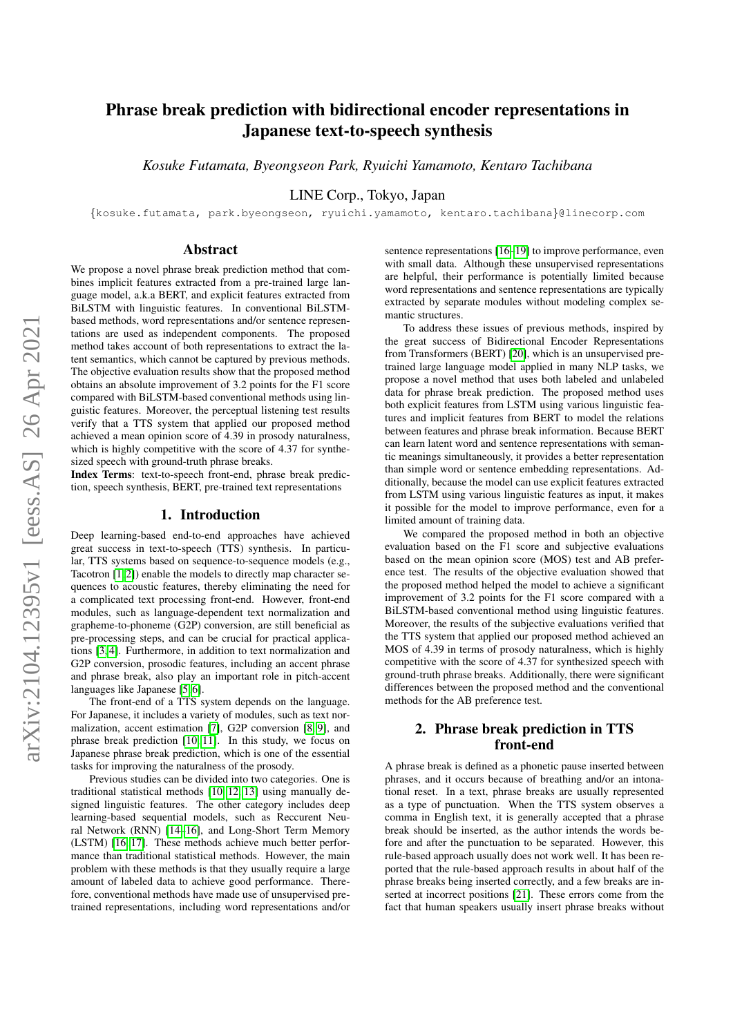# Phrase break prediction with bidirectional encoder representations in Japanese text-to-speech synthesis

*Kosuke Futamata, Byeongseon Park, Ryuichi Yamamoto, Kentaro Tachibana*

LINE Corp., Tokyo, Japan

{kosuke.futamata, park.byeongseon, ryuichi.yamamoto, kentaro.tachibana}@linecorp.com

## Abstract

We propose a novel phrase break prediction method that combines implicit features extracted from a pre-trained large language model, a.k.a BERT, and explicit features extracted from BiLSTM with linguistic features. In conventional BiLSTMbased methods, word representations and/or sentence representations are used as independent components. The proposed method takes account of both representations to extract the latent semantics, which cannot be captured by previous methods. The objective evaluation results show that the proposed method obtains an absolute improvement of 3.2 points for the F1 score compared with BiLSTM-based conventional methods using linguistic features. Moreover, the perceptual listening test results verify that a TTS system that applied our proposed method achieved a mean opinion score of 4.39 in prosody naturalness, which is highly competitive with the score of 4.37 for synthesized speech with ground-truth phrase breaks.

Index Terms: text-to-speech front-end, phrase break prediction, speech synthesis, BERT, pre-trained text representations

### 1. Introduction

Deep learning-based end-to-end approaches have achieved great success in text-to-speech (TTS) synthesis. In particular, TTS systems based on sequence-to-sequence models (e.g., Tacotron [\[1,](#page-4-0) [2\]](#page-4-1)) enable the models to directly map character sequences to acoustic features, thereby eliminating the need for a complicated text processing front-end. However, front-end modules, such as language-dependent text normalization and grapheme-to-phoneme (G2P) conversion, are still beneficial as pre-processing steps, and can be crucial for practical applications [\[3,](#page-4-2) [4\]](#page-4-3). Furthermore, in addition to text normalization and G2P conversion, prosodic features, including an accent phrase and phrase break, also play an important role in pitch-accent languages like Japanese [\[5,](#page-4-4) [6\]](#page-4-5).

The front-end of a TTS system depends on the language. For Japanese, it includes a variety of modules, such as text normalization, accent estimation [\[7\]](#page-4-6), G2P conversion [\[8,](#page-4-7) [9\]](#page-4-8), and phrase break prediction [\[10,](#page-4-9) [11\]](#page-4-10). In this study, we focus on Japanese phrase break prediction, which is one of the essential tasks for improving the naturalness of the prosody.

Previous studies can be divided into two categories. One is traditional statistical methods [\[10,](#page-4-9) [12,](#page-4-11) [13\]](#page-4-12) using manually designed linguistic features. The other category includes deep learning-based sequential models, such as Reccurent Neural Network (RNN) [\[14](#page-4-13)[–16\]](#page-4-14), and Long-Short Term Memory (LSTM) [\[16,](#page-4-14) [17\]](#page-4-15). These methods achieve much better performance than traditional statistical methods. However, the main problem with these methods is that they usually require a large amount of labeled data to achieve good performance. Therefore, conventional methods have made use of unsupervised pretrained representations, including word representations and/or

sentence representations [\[16](#page-4-14)[–19\]](#page-4-16) to improve performance, even with small data. Although these unsupervised representations are helpful, their performance is potentially limited because word representations and sentence representations are typically extracted by separate modules without modeling complex semantic structures.

To address these issues of previous methods, inspired by the great success of Bidirectional Encoder Representations from Transformers (BERT) [\[20\]](#page-4-17), which is an unsupervised pretrained large language model applied in many NLP tasks, we propose a novel method that uses both labeled and unlabeled data for phrase break prediction. The proposed method uses both explicit features from LSTM using various linguistic features and implicit features from BERT to model the relations between features and phrase break information. Because BERT can learn latent word and sentence representations with semantic meanings simultaneously, it provides a better representation than simple word or sentence embedding representations. Additionally, because the model can use explicit features extracted from LSTM using various linguistic features as input, it makes it possible for the model to improve performance, even for a limited amount of training data.

We compared the proposed method in both an objective evaluation based on the F1 score and subjective evaluations based on the mean opinion score (MOS) test and AB preference test. The results of the objective evaluation showed that the proposed method helped the model to achieve a significant improvement of 3.2 points for the F1 score compared with a BiLSTM-based conventional method using linguistic features. Moreover, the results of the subjective evaluations verified that the TTS system that applied our proposed method achieved an MOS of 4.39 in terms of prosody naturalness, which is highly competitive with the score of 4.37 for synthesized speech with ground-truth phrase breaks. Additionally, there were significant differences between the proposed method and the conventional methods for the AB preference test.

# 2. Phrase break prediction in TTS front-end

A phrase break is defined as a phonetic pause inserted between phrases, and it occurs because of breathing and/or an intonational reset. In a text, phrase breaks are usually represented as a type of punctuation. When the TTS system observes a comma in English text, it is generally accepted that a phrase break should be inserted, as the author intends the words before and after the punctuation to be separated. However, this rule-based approach usually does not work well. It has been reported that the rule-based approach results in about half of the phrase breaks being inserted correctly, and a few breaks are in-serted at incorrect positions [\[21\]](#page-4-18). These errors come from the fact that human speakers usually insert phrase breaks without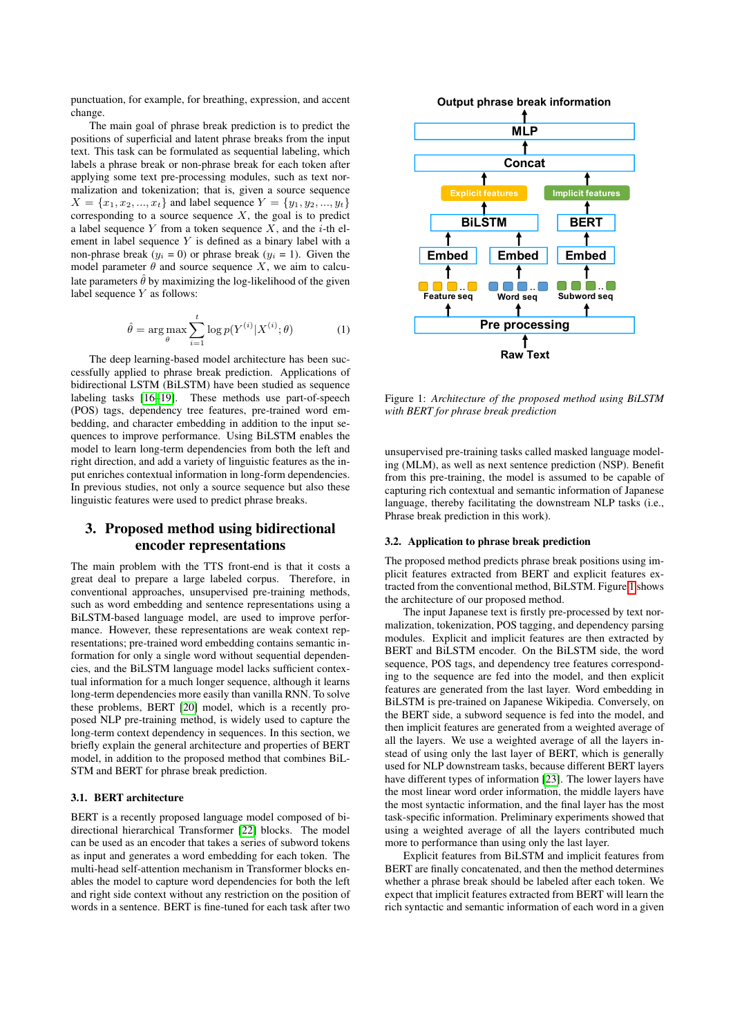punctuation, for example, for breathing, expression, and accent change.

The main goal of phrase break prediction is to predict the positions of superficial and latent phrase breaks from the input text. This task can be formulated as sequential labeling, which labels a phrase break or non-phrase break for each token after applying some text pre-processing modules, such as text normalization and tokenization; that is, given a source sequence  $X = \{x_1, x_2, ..., x_t\}$  and label sequence  $Y = \{y_1, y_2, ..., y_t\}$ corresponding to a source sequence  $X$ , the goal is to predict a label sequence Y from a token sequence  $X$ , and the *i*-th element in label sequence  $Y$  is defined as a binary label with a non-phrase break ( $y_i = 0$ ) or phrase break ( $y_i = 1$ ). Given the model parameter  $\theta$  and source sequence X, we aim to calculate parameters  $\hat{\theta}$  by maximizing the log-likelihood of the given label sequence Y as follows:

$$
\hat{\theta} = \arg \max_{\theta} \sum_{i=1}^{t} \log p(Y^{(i)} | X^{(i)}; \theta)
$$
 (1)

The deep learning-based model architecture has been successfully applied to phrase break prediction. Applications of bidirectional LSTM (BiLSTM) have been studied as sequence labeling tasks [\[16](#page-4-14)[–19\]](#page-4-16). These methods use part-of-speech (POS) tags, dependency tree features, pre-trained word embedding, and character embedding in addition to the input sequences to improve performance. Using BiLSTM enables the model to learn long-term dependencies from both the left and right direction, and add a variety of linguistic features as the input enriches contextual information in long-form dependencies. In previous studies, not only a source sequence but also these linguistic features were used to predict phrase breaks.

# 3. Proposed method using bidirectional encoder representations

The main problem with the TTS front-end is that it costs a great deal to prepare a large labeled corpus. Therefore, in conventional approaches, unsupervised pre-training methods, such as word embedding and sentence representations using a BiLSTM-based language model, are used to improve performance. However, these representations are weak context representations; pre-trained word embedding contains semantic information for only a single word without sequential dependencies, and the BiLSTM language model lacks sufficient contextual information for a much longer sequence, although it learns long-term dependencies more easily than vanilla RNN. To solve these problems, BERT [\[20\]](#page-4-17) model, which is a recently proposed NLP pre-training method, is widely used to capture the long-term context dependency in sequences. In this section, we briefly explain the general architecture and properties of BERT model, in addition to the proposed method that combines BiL-STM and BERT for phrase break prediction.

### 3.1. BERT architecture

BERT is a recently proposed language model composed of bidirectional hierarchical Transformer [\[22\]](#page-4-19) blocks. The model can be used as an encoder that takes a series of subword tokens as input and generates a word embedding for each token. The multi-head self-attention mechanism in Transformer blocks enables the model to capture word dependencies for both the left and right side context without any restriction on the position of words in a sentence. BERT is fine-tuned for each task after two

<span id="page-1-0"></span>

Figure 1: *Architecture of the proposed method using BiLSTM with BERT for phrase break prediction*

unsupervised pre-training tasks called masked language modeling (MLM), as well as next sentence prediction (NSP). Benefit from this pre-training, the model is assumed to be capable of capturing rich contextual and semantic information of Japanese language, thereby facilitating the downstream NLP tasks (i.e., Phrase break prediction in this work).

#### 3.2. Application to phrase break prediction

The proposed method predicts phrase break positions using implicit features extracted from BERT and explicit features extracted from the conventional method, BiLSTM. Figure [1](#page-1-0) shows the architecture of our proposed method.

The input Japanese text is firstly pre-processed by text normalization, tokenization, POS tagging, and dependency parsing modules. Explicit and implicit features are then extracted by BERT and BiLSTM encoder. On the BiLSTM side, the word sequence, POS tags, and dependency tree features corresponding to the sequence are fed into the model, and then explicit features are generated from the last layer. Word embedding in BiLSTM is pre-trained on Japanese Wikipedia. Conversely, on the BERT side, a subword sequence is fed into the model, and then implicit features are generated from a weighted average of all the layers. We use a weighted average of all the layers instead of using only the last layer of BERT, which is generally used for NLP downstream tasks, because different BERT layers have different types of information [\[23\]](#page-4-20). The lower layers have the most linear word order information, the middle layers have the most syntactic information, and the final layer has the most task-specific information. Preliminary experiments showed that using a weighted average of all the layers contributed much more to performance than using only the last layer.

Explicit features from BiLSTM and implicit features from BERT are finally concatenated, and then the method determines whether a phrase break should be labeled after each token. We expect that implicit features extracted from BERT will learn the rich syntactic and semantic information of each word in a given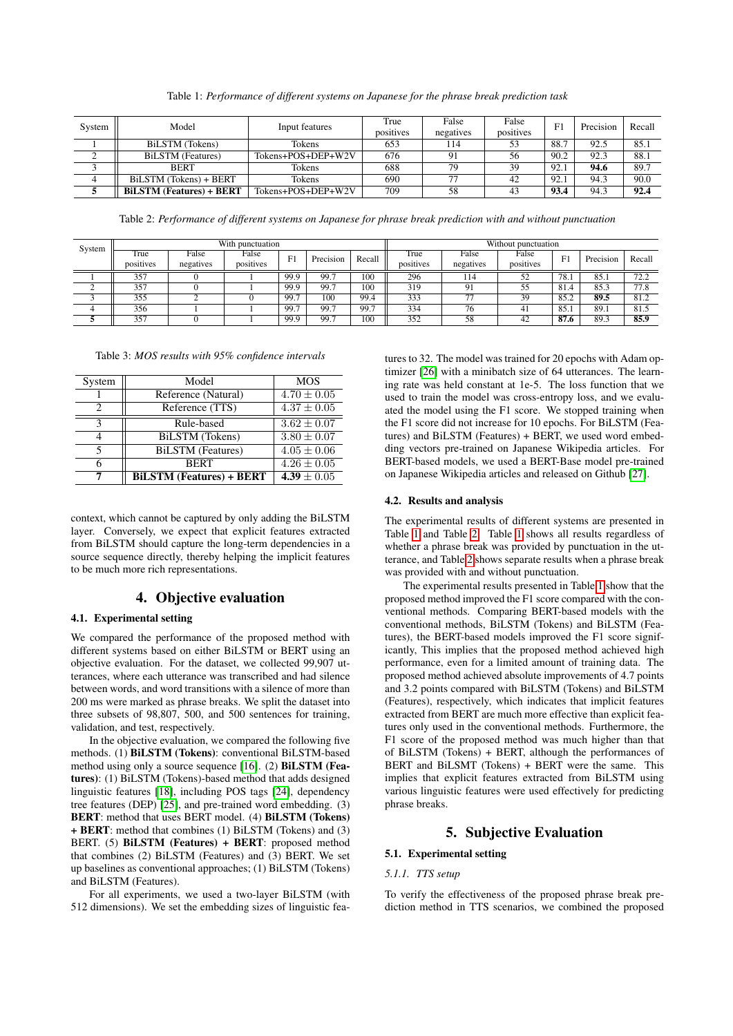Table 1: *Performance of different systems on Japanese for the phrase break prediction task*

<span id="page-2-0"></span>

| System         | Model                                          | Input features     | True<br>positives | False<br>negatives | False<br>positives | F1   | Precision | Recall |
|----------------|------------------------------------------------|--------------------|-------------------|--------------------|--------------------|------|-----------|--------|
|                | BiLSTM (Tokens)                                | Tokens             | 653               | 114                | 53                 | 88.7 | 92.5      | 85.1   |
|                | <b>BiLSTM</b> (Features)<br>Tokens+POS+DEP+W2V |                    | 676               | 91                 | 56                 | 90.2 | 92.3      | 88.i   |
|                | <b>BERT</b>                                    | Tokens             | 688               | 79                 | 39                 | 92.1 | 94.6      | 89.7   |
| $\overline{4}$ | BiLSTM (Tokens) + BERT<br>Tokens               |                    | 690               | 77                 | 42                 | 92.1 | 94.3      | 90.0   |
|                | <b>BILSTM (Features) + BERT</b>                | Tokens+POS+DEP+W2V | 709               | 58                 | 43                 | 93.4 | 94.3      | 92.4   |

Table 2: *Performance of different systems on Japanese for phrase break prediction with and without punctuation*

<span id="page-2-1"></span>

| System | With punctuation |           |                              |      |           | Without punctuation |           |                          |           |      |           |        |
|--------|------------------|-----------|------------------------------|------|-----------|---------------------|-----------|--------------------------|-----------|------|-----------|--------|
|        | True             | False     | False                        | F1   | Precision | Recall              | True      | False                    | False     | г1   | Precision | Recall |
|        | positives        | negatives | $\cdot$ $\cdot$<br>positives |      |           |                     | positives | negatives                | positives |      |           |        |
|        | 357              |           |                              | 99.9 | 99.7      | 100                 | 296       | 114                      | 52        | 78.1 | 85.1      | 72.2   |
|        | 357              |           |                              | 99.9 | 99.7      | 100                 | 319       | Q <sub>1</sub>           | 55        | 81.4 | 85.3      | 77.8   |
|        | 355              |           |                              | 99.7 | 100       | 99.4                | 333       | $\overline{\phantom{a}}$ | 39        | 85.2 | 89.5      | 81.2   |
| 4      | 356              |           |                              | 99.7 | 99.7      | 99.7                | 334       | 76                       | 41        | 85.  | 89.1      | 81.5   |
|        | 357              |           |                              | 99.9 | 99.7      | 100                 | 352       | 58                       | 42        | 87.6 | 89.3      | 85.9   |

<span id="page-2-2"></span>Table 3: *MOS results with 95% confidence intervals*

| System | Model                           | <b>MOS</b>      |  |  |
|--------|---------------------------------|-----------------|--|--|
|        | Reference (Natural)             | $4.70 \pm 0.05$ |  |  |
|        | Reference (TTS)                 | $4.37 \pm 0.05$ |  |  |
| 2      | Rule-based                      | $3.62 \pm 0.07$ |  |  |
|        | BiLSTM (Tokens)                 | $3.80 \pm 0.07$ |  |  |
|        | <b>BiLSTM</b> (Features)        | $4.05 \pm 0.06$ |  |  |
|        | <b>BERT</b>                     | $4.26 \pm 0.05$ |  |  |
|        | <b>BiLSTM (Features) + BERT</b> | 4.39 $\pm 0.05$ |  |  |

context, which cannot be captured by only adding the BiLSTM layer. Conversely, we expect that explicit features extracted from BiLSTM should capture the long-term dependencies in a source sequence directly, thereby helping the implicit features to be much more rich representations.

# 4. Objective evaluation

# 4.1. Experimental setting

We compared the performance of the proposed method with different systems based on either BiLSTM or BERT using an objective evaluation. For the dataset, we collected 99,907 utterances, where each utterance was transcribed and had silence between words, and word transitions with a silence of more than 200 ms were marked as phrase breaks. We split the dataset into three subsets of 98,807, 500, and 500 sentences for training, validation, and test, respectively.

In the objective evaluation, we compared the following five methods. (1) BiLSTM (Tokens): conventional BiLSTM-based method using only a source sequence [\[16\]](#page-4-14). (2) BiLSTM (Features): (1) BiLSTM (Tokens)-based method that adds designed linguistic features [\[18\]](#page-4-21), including POS tags [\[24\]](#page-4-22), dependency tree features (DEP) [\[25\]](#page-4-23), and pre-trained word embedding. (3) BERT: method that uses BERT model. (4) BiLSTM (Tokens) + BERT: method that combines (1) BiLSTM (Tokens) and (3) BERT. (5) BiLSTM (Features) + BERT: proposed method that combines (2) BiLSTM (Features) and (3) BERT. We set up baselines as conventional approaches; (1) BiLSTM (Tokens) and BiLSTM (Features).

For all experiments, we used a two-layer BiLSTM (with 512 dimensions). We set the embedding sizes of linguistic fea-

tures to 32. The model was trained for 20 epochs with Adam optimizer [\[26\]](#page-4-24) with a minibatch size of 64 utterances. The learning rate was held constant at 1e-5. The loss function that we used to train the model was cross-entropy loss, and we evaluated the model using the F1 score. We stopped training when the F1 score did not increase for 10 epochs. For BiLSTM (Features) and BiLSTM (Features) + BERT, we used word embedding vectors pre-trained on Japanese Wikipedia articles. For BERT-based models, we used a BERT-Base model pre-trained on Japanese Wikipedia articles and released on Github [\[27\]](#page-4-25).

#### 4.2. Results and analysis

The experimental results of different systems are presented in Table [1](#page-2-0) and Table [2.](#page-2-1) Table [1](#page-2-0) shows all results regardless of whether a phrase break was provided by punctuation in the utterance, and Table [2](#page-2-1) shows separate results when a phrase break was provided with and without punctuation.

The experimental results presented in Table [1](#page-2-0) show that the proposed method improved the F1 score compared with the conventional methods. Comparing BERT-based models with the conventional methods, BiLSTM (Tokens) and BiLSTM (Features), the BERT-based models improved the F1 score significantly, This implies that the proposed method achieved high performance, even for a limited amount of training data. The proposed method achieved absolute improvements of 4.7 points and 3.2 points compared with BiLSTM (Tokens) and BiLSTM (Features), respectively, which indicates that implicit features extracted from BERT are much more effective than explicit features only used in the conventional methods. Furthermore, the F1 score of the proposed method was much higher than that of BiLSTM (Tokens) + BERT, although the performances of BERT and BiLSMT (Tokens) + BERT were the same. This implies that explicit features extracted from BiLSTM using various linguistic features were used effectively for predicting phrase breaks.

# 5. Subjective Evaluation

# 5.1. Experimental setting

#### *5.1.1. TTS setup*

To verify the effectiveness of the proposed phrase break prediction method in TTS scenarios, we combined the proposed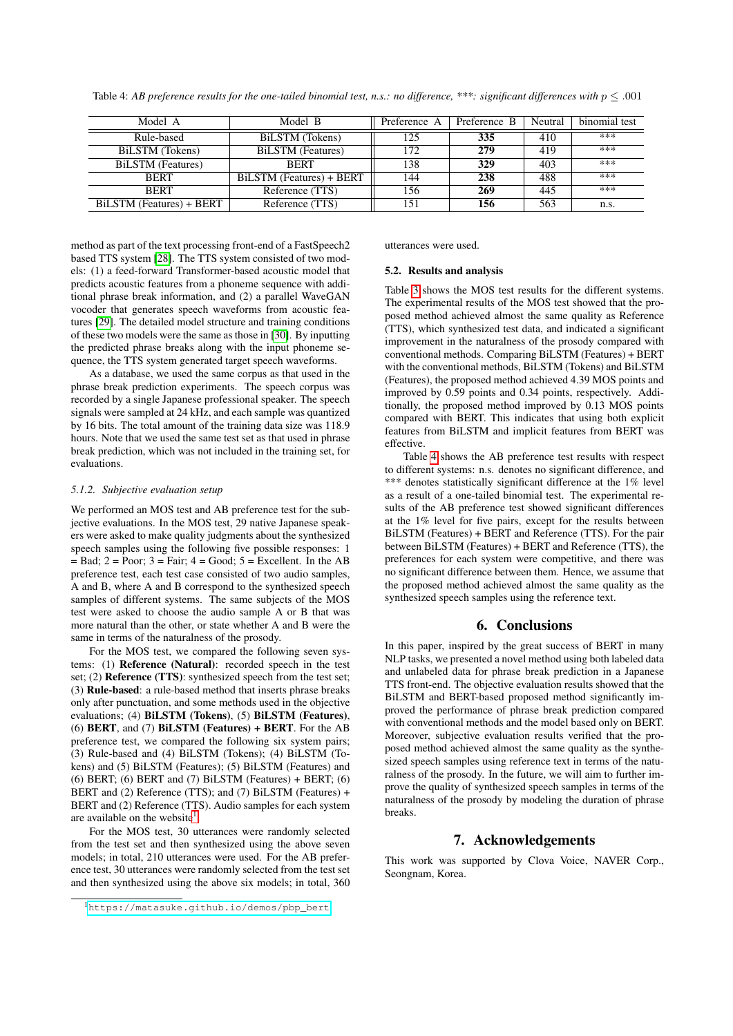<span id="page-3-1"></span>Table 4: *AB preference results for the one-tailed binomial test, n.s.: no difference,* \*\*\*: *significant differences with*  $p \le 0.001$ 

| Model A                  | Model B                  | Preference B<br>Preference A |     | Neutral | binomial test |
|--------------------------|--------------------------|------------------------------|-----|---------|---------------|
| Rule-based               | BiLSTM (Tokens)          | 125                          | 335 | 410     | ***           |
| BiLSTM (Tokens)          | BiLSTM (Features)        | 172                          | 279 | 419     | ***           |
| <b>BiLSTM</b> (Features) | <b>BERT</b>              | 138                          | 329 | 403     | ***           |
| <b>BERT</b>              | BiLSTM (Features) + BERT | 144                          | 238 | 488     | ***           |
| <b>BERT</b>              | Reference (TTS)          | 156                          | 269 | 445     | ***           |
| BiLSTM (Features) + BERT | Reference (TTS)          | 151                          | 156 | 563     | n.s.          |

method as part of the text processing front-end of a FastSpeech2 based TTS system [\[28\]](#page-4-26). The TTS system consisted of two models: (1) a feed-forward Transformer-based acoustic model that predicts acoustic features from a phoneme sequence with additional phrase break information, and (2) a parallel WaveGAN vocoder that generates speech waveforms from acoustic features [\[29\]](#page-4-27). The detailed model structure and training conditions of these two models were the same as those in [\[30\]](#page-4-28). By inputting the predicted phrase breaks along with the input phoneme sequence, the TTS system generated target speech waveforms.

As a database, we used the same corpus as that used in the phrase break prediction experiments. The speech corpus was recorded by a single Japanese professional speaker. The speech signals were sampled at 24 kHz, and each sample was quantized by 16 bits. The total amount of the training data size was 118.9 hours. Note that we used the same test set as that used in phrase break prediction, which was not included in the training set, for evaluations.

### *5.1.2. Subjective evaluation setup*

We performed an MOS test and AB preference test for the subjective evaluations. In the MOS test, 29 native Japanese speakers were asked to make quality judgments about the synthesized speech samples using the following five possible responses: 1  $=$  Bad;  $2 =$  Poor;  $3 =$  Fair;  $4 =$  Good;  $5 =$  Excellent. In the AB preference test, each test case consisted of two audio samples, A and B, where A and B correspond to the synthesized speech samples of different systems. The same subjects of the MOS test were asked to choose the audio sample A or B that was more natural than the other, or state whether A and B were the same in terms of the naturalness of the prosody.

For the MOS test, we compared the following seven systems: (1) Reference (Natural): recorded speech in the test set; (2) **Reference (TTS)**: synthesized speech from the test set; (3) Rule-based: a rule-based method that inserts phrase breaks only after punctuation, and some methods used in the objective evaluations; (4) BiLSTM (Tokens), (5) BiLSTM (Features), (6) BERT, and (7) BiLSTM (Features) + BERT. For the AB preference test, we compared the following six system pairs; (3) Rule-based and (4) BiLSTM (Tokens); (4) BiLSTM (Tokens) and (5) BiLSTM (Features); (5) BiLSTM (Features) and (6) BERT; (6) BERT and (7) BiLSTM (Features)  $+$  BERT; (6) BERT and (2) Reference (TTS); and (7) BiLSTM (Features) + BERT and (2) Reference (TTS). Audio samples for each system are available on the website<sup>[1](#page-3-0)</sup>.

For the MOS test, 30 utterances were randomly selected from the test set and then synthesized using the above seven models; in total, 210 utterances were used. For the AB preference test, 30 utterances were randomly selected from the test set and then synthesized using the above six models; in total, 360 utterances were used.

#### 5.2. Results and analysis

Table [3](#page-2-2) shows the MOS test results for the different systems. The experimental results of the MOS test showed that the proposed method achieved almost the same quality as Reference (TTS), which synthesized test data, and indicated a significant improvement in the naturalness of the prosody compared with conventional methods. Comparing BiLSTM (Features) + BERT with the conventional methods, BiLSTM (Tokens) and BiLSTM (Features), the proposed method achieved 4.39 MOS points and improved by 0.59 points and 0.34 points, respectively. Additionally, the proposed method improved by 0.13 MOS points compared with BERT. This indicates that using both explicit features from BiLSTM and implicit features from BERT was effective.

Table [4](#page-3-1) shows the AB preference test results with respect to different systems: n.s. denotes no significant difference, and \*\*\* denotes statistically significant difference at the 1% level as a result of a one-tailed binomial test. The experimental results of the AB preference test showed significant differences at the 1% level for five pairs, except for the results between BiLSTM (Features) + BERT and Reference (TTS). For the pair between BiLSTM (Features) + BERT and Reference (TTS), the preferences for each system were competitive, and there was no significant difference between them. Hence, we assume that the proposed method achieved almost the same quality as the synthesized speech samples using the reference text.

## 6. Conclusions

In this paper, inspired by the great success of BERT in many NLP tasks, we presented a novel method using both labeled data and unlabeled data for phrase break prediction in a Japanese TTS front-end. The objective evaluation results showed that the BiLSTM and BERT-based proposed method significantly improved the performance of phrase break prediction compared with conventional methods and the model based only on BERT. Moreover, subjective evaluation results verified that the proposed method achieved almost the same quality as the synthesized speech samples using reference text in terms of the naturalness of the prosody. In the future, we will aim to further improve the quality of synthesized speech samples in terms of the naturalness of the prosody by modeling the duration of phrase breaks.

# 7. Acknowledgements

This work was supported by Clova Voice, NAVER Corp., Seongnam, Korea.

<span id="page-3-0"></span><sup>1</sup>[https://matasuke.github.io/demos/pbp\\_bert](https://matasuke.github.io/demos/pbp_bert)